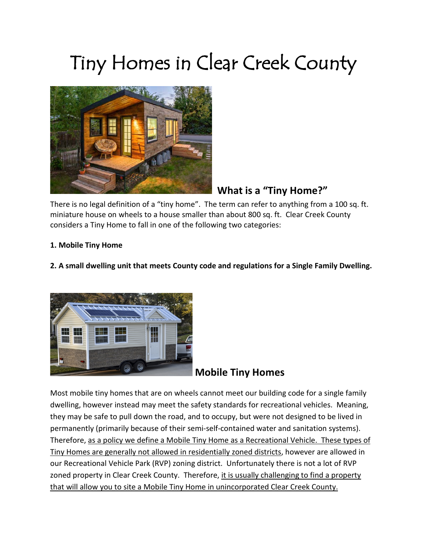# Tiny Homes in Clear Creek County



# **What is a "Tiny Home?"**

There is no legal definition of a "tiny home". The term can refer to anything from a 100 sq. ft. miniature house on wheels to a house smaller than about 800 sq. ft. Clear Creek County considers a Tiny Home to fall in one of the following two categories:

#### **1. Mobile Tiny Home**

#### **2. A small dwelling unit that meets County code and regulations for a Single Family Dwelling.**



## **Mobile Tiny Homes**

Most mobile tiny homes that are on wheels cannot meet our building code for a single family dwelling, however instead may meet the safety standards for recreational vehicles. Meaning, they may be safe to pull down the road, and to occupy, but were not designed to be lived in permanently (primarily because of their semi-self-contained water and sanitation systems). Therefore, as a policy we define a Mobile Tiny Home as a Recreational Vehicle. These types of Tiny Homes are generally not allowed in residentially zoned districts, however are allowed in our Recreational Vehicle Park (RVP) zoning district. Unfortunately there is not a lot of RVP zoned property in Clear Creek County. Therefore, it is usually challenging to find a property that will allow you to site a Mobile Tiny Home in unincorporated Clear Creek County.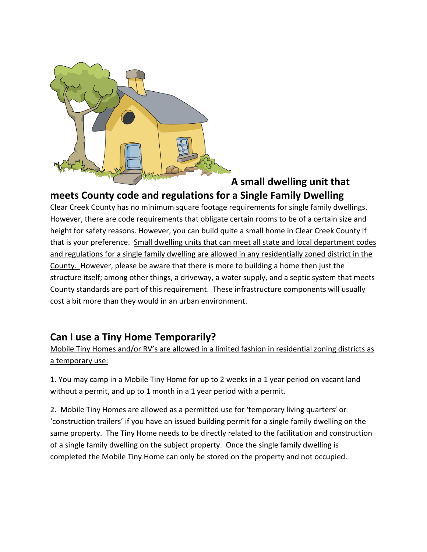

## **A small dwelling unit that meets County code and regulations for a Single Family Dwelling**

Clear Creek County has no minimum square footage requirements for single family dwellings. However, there are code requirements that obligate certain rooms to be of a certain size and height for safety reasons. However, you can build quite a small home in Clear Creek County if that is your preference. Small dwelling units that can meet all state and local department codes and regulations for a single family dwelling are allowed in any residentially zoned district in the County. However, please be aware that there is more to building a home then just the structure itself; among other things, a driveway, a water supply, and a septic system that meets County standards are part of this requirement. These infrastructure components will usually cost a bit more than they would in an urban environment.

## **Can I use a Tiny Home Temporarily?**

Mobile Tiny Homes and/or RV's are allowed in a limited fashion in residential zoning districts as a temporary use:

1. You may camp in a Mobile Tiny Home for up to 2 weeks in a 1 year period on vacant land without a permit, and up to 1 month in a 1 year period with a permit.

2. Mobile Tiny Homes are allowed as a permitted use for 'temporary living quarters' or 'construction trailers' if you have an issued building permit for a single family dwelling on the same property. The Tiny Home needs to be directly related to the facilitation and construction of a single family dwelling on the subject property. Once the single family dwelling is completed the Mobile Tiny Home can only be stored on the property and not occupied.